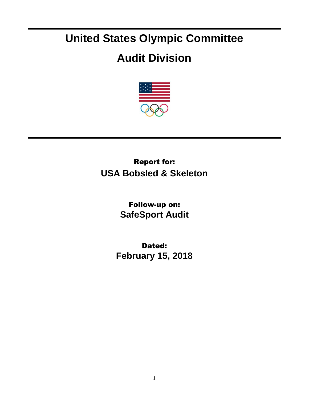## **United States Olympic Committee**

## **Audit Division**



## Report for: **USA Bobsled & Skeleton**

Follow-up on: **SafeSport Audit**

Dated: **February 15, 2018**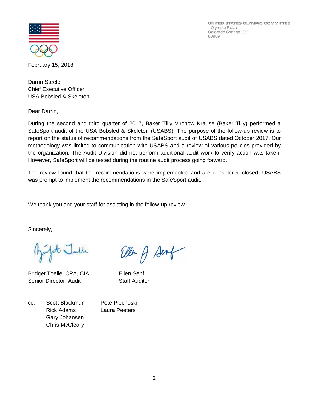UNITED STATES OLYMPIC COMMITTEE 1 Olympic Plaza Colorado Springs, CO 80909



February 15, 2018

Darrin Steele Chief Executive Officer USA Bobsled & Skeleton

Dear Darrin,

During the second and third quarter of 2017, Baker Tilly Virchow Krause (Baker Tilly) performed a SafeSport audit of the USA Bobsled & Skeleton (USABS). The purpose of the follow-up review is to report on the status of recommendations from the SafeSport audit of USABS dated October 2017. Our methodology was limited to communication with USABS and a review of various policies provided by the organization. The Audit Division did not perform additional audit work to verify action was taken. However, SafeSport will be tested during the routine audit process going forward.

The review found that the recommendations were implemented and are considered closed. USABS was prompt to implement the recommendations in the SafeSport audit.

We thank you and your staff for assisting in the follow-up review.

Sincerely,

fit Julle

Bridget Toelle, CPA, CIA Ellen Senf Senior Director, Audit Staff Auditor

Ellen of Senf

cc: Scott Blackmun Pete Piechoski Rick Adams Laura Peeters Gary Johansen Chris McCleary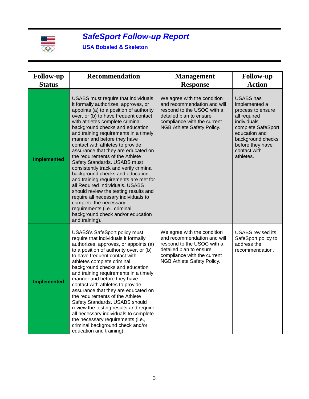

## *SafeSport Follow-up Report*

**USA Bobsled & Skeleton**

| <b>Follow-up</b><br><b>Status</b> | <b>Recommendation</b>                                                                                                                                                                                                                                                                                                                                                                                                                                                                                                                                                                                                                                                                                                                                                                                                  | <b>Management</b><br><b>Response</b>                                                                                                                                             | <b>Follow-up</b><br><b>Action</b>                                                                                                                                                                  |
|-----------------------------------|------------------------------------------------------------------------------------------------------------------------------------------------------------------------------------------------------------------------------------------------------------------------------------------------------------------------------------------------------------------------------------------------------------------------------------------------------------------------------------------------------------------------------------------------------------------------------------------------------------------------------------------------------------------------------------------------------------------------------------------------------------------------------------------------------------------------|----------------------------------------------------------------------------------------------------------------------------------------------------------------------------------|----------------------------------------------------------------------------------------------------------------------------------------------------------------------------------------------------|
| <b>Implemented</b>                | USABS must require that individuals<br>it formally authorizes, approves, or<br>appoints (a) to a position of authority<br>over, or (b) to have frequent contact<br>with athletes complete criminal<br>background checks and education<br>and training requirements in a timely<br>manner and before they have<br>contact with athletes to provide<br>assurance that they are educated on<br>the requirements of the Athlete<br>Safety Standards. USABS must<br>consistently track and verify criminal<br>background checks and education<br>and training requirements are met for<br>all Required Individuals. USABS<br>should review the testing results and<br>require all necessary individuals to<br>complete the necessary<br>requirements (i.e., criminal<br>background check and/or education<br>and training). | We agree with the condition<br>and recommendation and will<br>respond to the USOC with a<br>detailed plan to ensure<br>compliance with the current<br>NGB Athlete Safety Policy. | <b>USABS</b> has<br>implemented a<br>process to ensure<br>all required<br>individuals<br>complete SafeSport<br>education and<br>background checks<br>before they have<br>contact with<br>athletes. |
| <b>Implemented</b>                | <b>USABS's SafeSport policy must</b><br>require that individuals it formally<br>authorizes, approves, or appoints (a)<br>to a position of authority over, or (b)<br>to have frequent contact with<br>athletes complete criminal<br>background checks and education<br>and training requirements in a timely<br>manner and before they have<br>contact with athletes to provide<br>assurance that they are educated on<br>the requirements of the Athlete<br>Safety Standards. USABS should<br>review the testing results and require<br>all necessary individuals to complete<br>the necessary requirements (i.e.,<br>criminal background check and/or<br>education and training).                                                                                                                                     | We agree with the condition<br>and recommendation and will<br>respond to the USOC with a<br>detailed plan to ensure<br>compliance with the current<br>NGB Athlete Safety Policy. | <b>USABS</b> revised its<br>SafeSport policy to<br>address the<br>recommendation.                                                                                                                  |